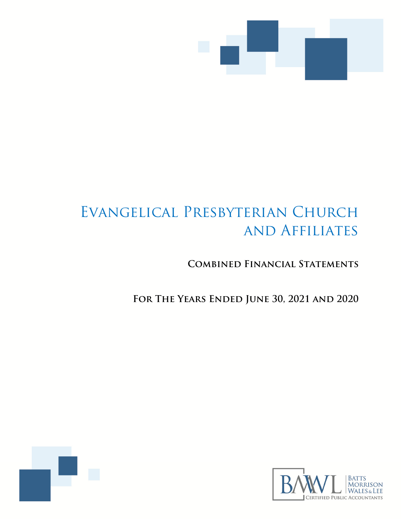

# Evangelical Presbyterian Church and Affiliates

**Combined Financial Statements** 

**For The Years Ended June 30, 2021 and 2020** 



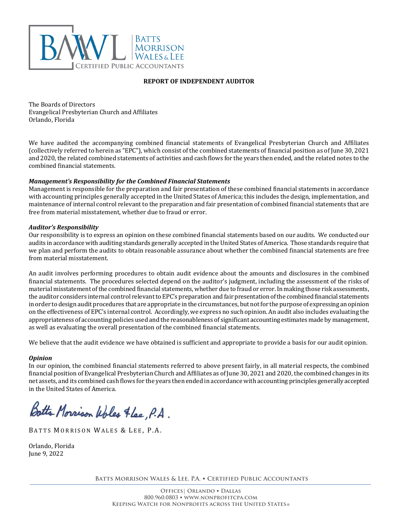

## **REPORT OF INDEPENDENT AUDITOR**

The Boards of Directors Evangelical Presbyterian Church and Affiliates Orlando, Florida

We have audited the accompanying combined financial statements of Evangelical Presbyterian Church and Affiliates (collectively referred to herein as "EPC"), which consist of the combined statements of financial position as of June 30, 2021 and 2020, the related combined statements of activities and cash flows for the years then ended, and the related notes to the combined financial statements.

## *Management's Responsibility for the Combined Financial Statements*

Management is responsible for the preparation and fair presentation of these combined financial statements in accordance with accounting principles generally accepted in the United States of America; this includes the design, implementation, and maintenance of internal control relevant to the preparation and fair presentation of combined financial statements that are free from material misstatement, whether due to fraud or error.

#### *Auditor's Responsibility*

Our responsibility is to express an opinion on these combined financial statements based on our audits. We conducted our audits in accordance with auditing standards generally accepted in the United States of America. Those standards require that we plan and perform the audits to obtain reasonable assurance about whether the combined financial statements are free from material misstatement.

An audit involves performing procedures to obtain audit evidence about the amounts and disclosures in the combined financial statements. The procedures selected depend on the auditor's judgment, including the assessment of the risks of material misstatement of the combined financial statements, whether due to fraud or error. In making those risk assessments, the auditor considers internal control relevant to EPC's preparation and fair presentation of the combined financial statements in order to design audit procedures that are appropriate in the circumstances, but not for the purpose of expressing an opinion on the effectiveness of EPC's internal control. Accordingly, we express no such opinion. An audit also includes evaluating the appropriateness of accounting policies used and the reasonableness of significant accounting estimates made by management, as well as evaluating the overall presentation of the combined financial statements.

We believe that the audit evidence we have obtained is sufficient and appropriate to provide a basis for our audit opinion.

#### *Opinion*

In our opinion, the combined financial statements referred to above present fairly, in all material respects, the combined financial position of Evangelical Presbyterian Church and Affiliates as of June 30, 2021 and 2020, the combined changes in its net assets, and its combined cash flows for the years then ended in accordance with accounting principles generally accepted in the United States of America.

Botts Morrison Woles Flee, P.A.

BATTS MORRISON WALES & LEE, P.A.

Orlando, Florida June 9, 2022

**Batts Morrison Wales & Lee, P.A.** • **Certified Public Accountants**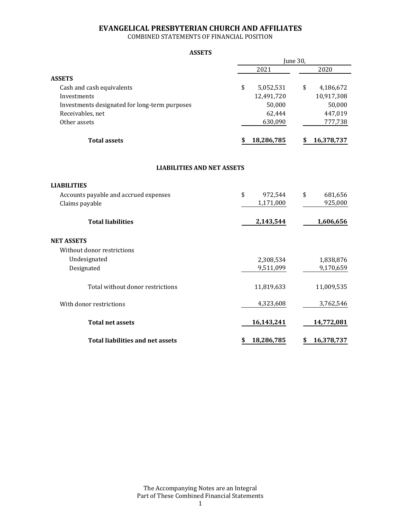COMBINED STATEMENTS OF FINANCIAL POSITION

#### **ASSETS**

|                                               |    | June 30,   |    |            |  |  |  |  |  |
|-----------------------------------------------|----|------------|----|------------|--|--|--|--|--|
|                                               |    | 2021       |    | 2020       |  |  |  |  |  |
| <b>ASSETS</b>                                 |    |            |    |            |  |  |  |  |  |
| Cash and cash equivalents                     | \$ | 5,052,531  | \$ | 4,186,672  |  |  |  |  |  |
| Investments                                   |    | 12,491,720 |    | 10,917,308 |  |  |  |  |  |
| Investments designated for long-term purposes |    | 50,000     |    | 50,000     |  |  |  |  |  |
| Receivables, net                              |    | 62,444     |    | 447,019    |  |  |  |  |  |
| Other assets                                  |    | 630,090    |    | 777,738    |  |  |  |  |  |
| <b>Total assets</b>                           | S  | 18,286,785 | \$ | 16,378,737 |  |  |  |  |  |
| <b>LIABILITIES AND NET ASSETS</b>             |    |            |    |            |  |  |  |  |  |
| <b>LIABILITIES</b>                            |    |            |    |            |  |  |  |  |  |
| Accounts payable and accrued expenses         | \$ | 972,544    | \$ | 681,656    |  |  |  |  |  |
| Claims payable                                |    | 1,171,000  |    | 925,000    |  |  |  |  |  |
| <b>Total liabilities</b>                      |    | 2,143,544  |    | 1,606,656  |  |  |  |  |  |
| <b>NET ASSETS</b>                             |    |            |    |            |  |  |  |  |  |
| Without donor restrictions                    |    |            |    |            |  |  |  |  |  |
| Undesignated                                  |    | 2,308,534  |    | 1,838,876  |  |  |  |  |  |
| Designated                                    |    | 9,511,099  |    | 9,170,659  |  |  |  |  |  |
| Total without donor restrictions              |    | 11,819,633 |    | 11,009,535 |  |  |  |  |  |
| With donor restrictions                       |    | 4,323,608  |    | 3,762,546  |  |  |  |  |  |
| <b>Total net assets</b>                       |    | 16,143,241 |    | 14,772,081 |  |  |  |  |  |
| <b>Total liabilities and net assets</b>       | \$ | 18,286,785 | \$ | 16,378,737 |  |  |  |  |  |

The Accompanying Notes are an Integral Part of These Combined Financial Statements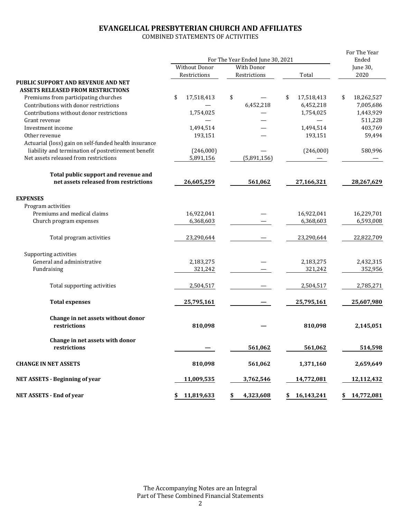COMBINED STATEMENTS OF ACTIVITIES

|                                                       | For The Year Ended June 30, 2021 |                 |                  | For The Year<br>Ended |  |
|-------------------------------------------------------|----------------------------------|-----------------|------------------|-----------------------|--|
|                                                       | <b>Without Donor</b>             | With Donor      |                  | June 30,              |  |
|                                                       | Restrictions                     | Restrictions    | Total            | 2020                  |  |
| PUBLIC SUPPORT AND REVENUE AND NET                    |                                  |                 |                  |                       |  |
| <b>ASSETS RELEASED FROM RESTRICTIONS</b>              |                                  |                 |                  |                       |  |
| Premiums from participating churches                  | \$<br>17,518,413                 | \$              | \$<br>17,518,413 | 18,262,527<br>\$      |  |
| Contributions with donor restrictions                 |                                  | 6,452,218       | 6,452,218        | 7,005,686             |  |
| Contributions without donor restrictions              | 1,754,025                        |                 | 1,754,025        | 1,443,929             |  |
| Grant revenue                                         |                                  |                 |                  | 511,228               |  |
| Investment income                                     | 1,494,514                        |                 | 1,494,514        | 403,769               |  |
| Other revenue                                         | 193,151                          |                 | 193,151          | 59,494                |  |
| Actuarial (loss) gain on self-funded health insurance |                                  |                 |                  |                       |  |
| liability and termination of postretirement benefit   | (246,000)                        |                 | (246,000)        | 580,996               |  |
| Net assets released from restrictions                 | 5,891,156                        | (5,891,156)     |                  |                       |  |
|                                                       |                                  |                 |                  |                       |  |
| Total public support and revenue and                  |                                  |                 |                  |                       |  |
| net assets released from restrictions                 | 26,605,259                       | 561,062         | 27,166,321       | 28,267,629            |  |
|                                                       |                                  |                 |                  |                       |  |
| <b>EXPENSES</b>                                       |                                  |                 |                  |                       |  |
| Program activities                                    |                                  |                 |                  |                       |  |
| Premiums and medical claims                           | 16,922,041                       |                 | 16,922,041       | 16,229,701            |  |
| Church program expenses                               | 6,368,603                        |                 | 6,368,603        | 6,593,008             |  |
|                                                       |                                  |                 |                  |                       |  |
| Total program activities                              | 23,290,644                       |                 | 23,290,644       | 22,822,709            |  |
|                                                       |                                  |                 |                  |                       |  |
| Supporting activities                                 |                                  |                 |                  |                       |  |
| General and administrative                            | 2,183,275                        |                 | 2,183,275        | 2,432,315             |  |
| Fundraising                                           | 321,242                          |                 | 321,242          | 352,956               |  |
|                                                       |                                  |                 |                  |                       |  |
| Total supporting activities                           | 2,504,517                        |                 | 2,504,517        | 2,785,271             |  |
|                                                       |                                  |                 |                  |                       |  |
| <b>Total expenses</b>                                 | 25,795,161                       |                 | 25,795,161       | 25,607,980            |  |
|                                                       |                                  |                 |                  |                       |  |
| Change in net assets without donor                    |                                  |                 |                  |                       |  |
| restrictions                                          | 810,098                          |                 | 810,098          | 2,145,051             |  |
|                                                       |                                  |                 |                  |                       |  |
| Change in net assets with donor                       |                                  |                 |                  |                       |  |
| restrictions                                          |                                  | 561,062         | 561,062          | 514,598               |  |
|                                                       |                                  |                 |                  |                       |  |
| <b>CHANGE IN NET ASSETS</b>                           | 810,098                          | 561,062         | 1,371,160        | 2,659,649             |  |
| <b>NET ASSETS - Beginning of year</b>                 | 11,009,535                       | 3,762,546       | 14,772,081       | 12,112,432            |  |
|                                                       |                                  |                 |                  |                       |  |
| <b>NET ASSETS - End of year</b>                       | \$11,819,633                     | 4,323,608<br>\$ | \$16,143,241     | \$14,772,081          |  |

The Accompanying Notes are an Integral Part of These Combined Financial Statements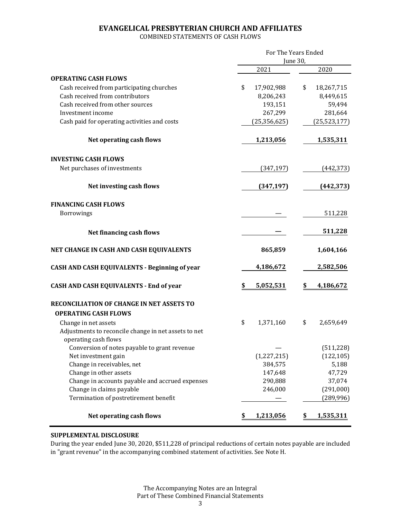COMBINED STATEMENTS OF CASH FLOWS

|                                                                              | For The Years Ended<br>June 30, |                |    |                |  |
|------------------------------------------------------------------------------|---------------------------------|----------------|----|----------------|--|
|                                                                              |                                 | 2021           |    | 2020           |  |
| <b>OPERATING CASH FLOWS</b>                                                  |                                 |                |    |                |  |
| Cash received from participating churches                                    | \$                              | 17,902,988     | \$ | 18,267,715     |  |
| Cash received from contributors                                              |                                 | 8,206,243      |    | 8,449,615      |  |
| Cash received from other sources                                             |                                 | 193,151        |    | 59,494         |  |
| Investment income                                                            |                                 | 267,299        |    | 281,664        |  |
| Cash paid for operating activities and costs                                 |                                 | (25, 356, 625) |    | (25, 523, 177) |  |
| Net operating cash flows                                                     |                                 | 1,213,056      |    | 1,535,311      |  |
| <b>INVESTING CASH FLOWS</b>                                                  |                                 |                |    |                |  |
| Net purchases of investments                                                 |                                 | (347, 197)     |    | (442, 373)     |  |
| Net investing cash flows                                                     |                                 | (347, 197)     |    | (442, 373)     |  |
| <b>FINANCING CASH FLOWS</b>                                                  |                                 |                |    |                |  |
| Borrowings                                                                   |                                 |                |    | 511,228        |  |
| Net financing cash flows                                                     |                                 |                |    | 511,228        |  |
| NET CHANGE IN CASH AND CASH EQUIVALENTS                                      |                                 | 865,859        |    | 1,604,166      |  |
| CASH AND CASH EQUIVALENTS - Beginning of year                                |                                 | 4,186,672      |    | 2,582,506      |  |
| <b>CASH AND CASH EQUIVALENTS - End of year</b>                               | \$                              | 5,052,531      | \$ | 4,186,672      |  |
| <b>RECONCILIATION OF CHANGE IN NET ASSETS TO</b>                             |                                 |                |    |                |  |
| <b>OPERATING CASH FLOWS</b>                                                  |                                 |                |    |                |  |
| Change in net assets                                                         | \$                              | 1,371,160      | \$ | 2,659,649      |  |
| Adjustments to reconcile change in net assets to net<br>operating cash flows |                                 |                |    |                |  |
| Conversion of notes payable to grant revenue                                 |                                 |                |    | (511, 228)     |  |
| Net investment gain                                                          |                                 | (1, 227, 215)  |    | (122, 105)     |  |
| Change in receivables, net                                                   |                                 | 384,575        |    | 5,188          |  |
| Change in other assets                                                       |                                 | 147,648        |    | 47,729         |  |
| Change in accounts payable and accrued expenses                              |                                 | 290,888        |    | 37,074         |  |
| Change in claims payable                                                     |                                 | 246,000        |    | (291,000)      |  |
| Termination of postretirement benefit                                        |                                 |                |    | (289, 996)     |  |
| <b>Net operating cash flows</b>                                              | \$                              | 1,213,056      | \$ | 1,535,311      |  |

# **SUPPLEMENTAL DISCLOSURE**

During the year ended June 30, 2020, \$511,228 of principal reductions of certain notes payable are included in "grant revenue" in the accompanying combined statement of activities. See Note H.

> The Accompanying Notes are an Integral Part of These Combined Financial Statements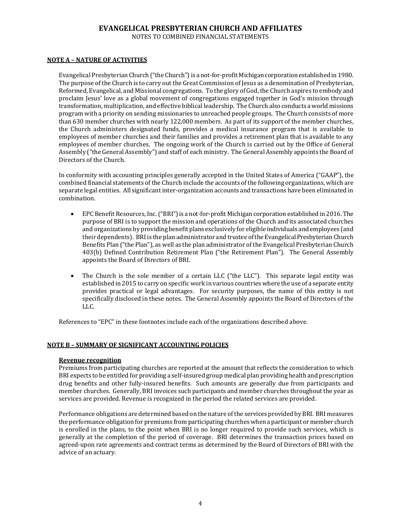NOTES TO COMBINED FINANCIAL STATEMENTS

## **NOTE A – NATURE OF ACTIVITIES**

Evangelical Presbyterian Church ("the Church") is a not-for-profit Michigan corporation established in 1980. The purpose of the Church is to carry out the Great Commission of Jesus as a denomination of Presbyterian, Reformed, Evangelical, and Missional congregations. To the glory of God, the Church aspires to embody and proclaim Jesus' love as a global movement of congregations engaged together in God's mission through transformation, multiplication, and effective biblical leadership. The Church also conducts a world missions program with a priority on sending missionaries to unreached people groups. The Church consists of more than 630 member churches with nearly 122,000 members. As part of its support of the member churches, the Church administers designated funds, provides a medical insurance program that is available to employees of member churches and their families and provides a retirement plan that is available to any employees of member churches. The ongoing work of the Church is carried out by the Office of General Assembly ("the General Assembly") and staff of each ministry. The General Assembly appoints the Board of Directors of the Church.

In conformity with accounting principles generally accepted in the United States of America ("GAAP"), the combined financial statements of the Church include the accounts of the following organizations, which are separate legal entities. All significant inter-organization accounts and transactions have been eliminated in combination.

- EPC Benefit Resources, Inc. ("BRI") is a not-for-profit Michigan corporation established in 2016. The purpose of BRI is to support the mission and operations of the Church and its associated churches and organizations by providing benefit plans exclusively for eligible individuals and employees (and their dependents). BRI is the plan administrator and trustee of the Evangelical Presbyterian Church Benefits Plan ("the Plan"), as well as the plan administrator of the Evangelical Presbyterian Church 403(b) Defined Contribution Retirement Plan ("the Retirement Plan"). The General Assembly appoints the Board of Directors of BRI.
- The Church is the sole member of a certain LLC ("the LLC"). This separate legal entity was established in 2015 to carry on specific work in various countries where the use of a separate entity provides practical or legal advantages. For security purposes, the name of this entity is not specifically disclosed in these notes. The General Assembly appoints the Board of Directors of the LLC.

References to "EPC" in these footnotes include each of the organizations described above.

#### **NOTE B – SUMMARY OF SIGNIFICANT ACCOUNTING POLICIES**

#### **Revenue recognition**

Premiums from participating churches are reported at the amount that reflects the consideration to which BRI expects to be entitled for providing a self-insured group medical plan providing health and prescription drug benefits and other fully-insured benefits. Such amounts are generally due from participants and member churches. Generally, BRI invoices such participants and member churches throughout the year as services are provided. Revenue is recognized in the period the related services are provided.

Performance obligations are determined based on the nature of the services provided by BRI. BRI measures the performance obligation for premiums from participating churches when a participant or member church is enrolled in the plans, to the point when BRI is no longer required to provide such services, which is generally at the completion of the period of coverage. BRI determines the transaction prices based on agreed-upon rate agreements and contract terms as determined by the Board of Directors of BRI with the advice of an actuary.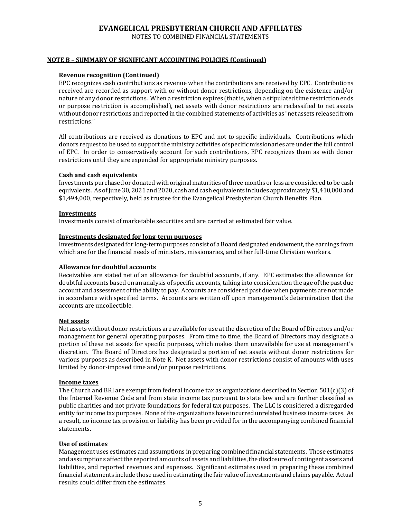NOTES TO COMBINED FINANCIAL STATEMENTS

## **NOTE B – SUMMARY OF SIGNIFICANT ACCOUNTING POLICIES (Continued)**

#### **Revenue recognition (Continued)**

EPC recognizes cash contributions as revenue when the contributions are received by EPC. Contributions received are recorded as support with or without donor restrictions, depending on the existence and/or nature of any donor restrictions. When a restriction expires (that is, when a stipulated time restriction ends or purpose restriction is accomplished), net assets with donor restrictions are reclassified to net assets without donor restrictions and reported in the combined statements of activities as "net assets released from restrictions."

All contributions are received as donations to EPC and not to specific individuals. Contributions which donors request to be used to support the ministry activities of specific missionaries are under the full control of EPC. In order to conservatively account for such contributions, EPC recognizes them as with donor restrictions until they are expended for appropriate ministry purposes.

#### **Cash and cash equivalents**

Investments purchased or donated with original maturities of three months or less are considered to be cash equivalents. As of June 30, 2021 and 2020, cash and cash equivalents includes approximately \$1,410,000 and \$1,494,000, respectively, held as trustee for the Evangelical Presbyterian Church Benefits Plan.

#### **Investments**

Investments consist of marketable securities and are carried at estimated fair value.

#### **Investments designated for long-term purposes**

Investments designated for long-term purposes consist of a Board designated endowment, the earnings from which are for the financial needs of ministers, missionaries, and other full-time Christian workers.

#### **Allowance for doubtful accounts**

Receivables are stated net of an allowance for doubtful accounts, if any. EPC estimates the allowance for doubtful accounts based on an analysis of specific accounts, taking into consideration the age of the past due account and assessment of the ability to pay. Accounts are considered past due when payments are not made in accordance with specified terms. Accounts are written off upon management's determination that the accounts are uncollectible.

#### **Net assets**

Net assets without donor restrictions are available for use at the discretion of the Board of Directors and/or management for general operating purposes. From time to time, the Board of Directors may designate a portion of these net assets for specific purposes, which makes them unavailable for use at management's discretion. The Board of Directors has designated a portion of net assets without donor restrictions for various purposes as described in Note K. Net assets with donor restrictions consist of amounts with uses limited by donor-imposed time and/or purpose restrictions.

#### **Income taxes**

The Church and BRI are exempt from federal income tax as organizations described in Section 501(c)(3) of the Internal Revenue Code and from state income tax pursuant to state law and are further classified as public charities and not private foundations for federal tax purposes. The LLC is considered a disregarded entity for income tax purposes. None of the organizations have incurred unrelated business income taxes. As a result, no income tax provision or liability has been provided for in the accompanying combined financial statements.

#### **Use of estimates**

Management uses estimates and assumptions in preparing combined financial statements. Those estimates and assumptions affect the reported amounts of assets and liabilities, the disclosure of contingent assets and liabilities, and reported revenues and expenses. Significant estimates used in preparing these combined financial statements include those used in estimating the fair value of investments and claims payable. Actual results could differ from the estimates.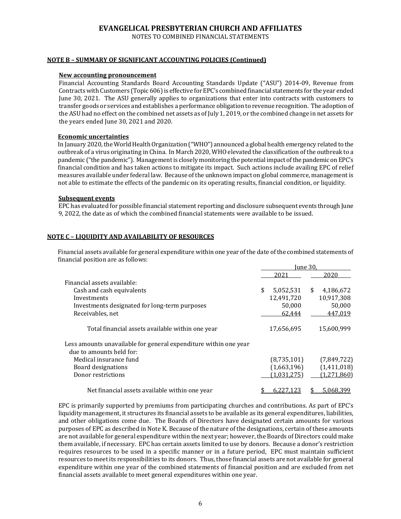NOTES TO COMBINED FINANCIAL STATEMENTS

#### **NOTE B – SUMMARY OF SIGNIFICANT ACCOUNTING POLICIES (Continued)**

#### **New accounting pronouncement**

Financial Accounting Standards Board Accounting Standards Update ("ASU") 2014-09, Revenue from Contracts with Customers (Topic 606) is effective for EPC's combined financial statements for the year ended June 30, 2021. The ASU generally applies to organizations that enter into contracts with customers to transfer goods or services and establishes a performance obligation to revenue recognition. The adoption of the ASU had no effect on the combined net assets as of July 1, 2019, or the combined change in net assets for the years ended June 30, 2021 and 2020.

## **Economic uncertainties**

In January 2020, the World Health Organization ("WHO") announced a global health emergency related to the outbreak of a virus originating in China. In March 2020, WHO elevated the classification of the outbreak to a pandemic ("the pandemic"). Management is closely monitoring the potential impact of the pandemic on EPC's financial condition and has taken actions to mitigate its impact. Such actions include availing EPC of relief measures available under federal law. Because of the unknown impact on global commerce, management is not able to estimate the effects of the pandemic on its operating results, financial condition, or liquidity.

#### **Subsequent events**

EPC has evaluated for possible financial statement reporting and disclosure subsequent events through June 9, 2022, the date as of which the combined financial statements were available to be issued.

## **NOTE C – LIQUIDITY AND AVAILABILITY OF RESOURCES**

Financial assets available for general expenditure within one year of the date of the combined statements of financial position are as follows:  $\overline{1}$   $\overline{20}$ 

|                                                                  | iune 30.    |                 |  |  |
|------------------------------------------------------------------|-------------|-----------------|--|--|
|                                                                  | 2021        | 2020            |  |  |
| Financial assets available:                                      |             |                 |  |  |
| Cash and cash equivalents                                        | 5,052,531   | \$<br>4,186,672 |  |  |
| Investments                                                      | 12,491,720  | 10,917,308      |  |  |
| Investments designated for long-term purposes                    | 50,000      | 50,000          |  |  |
| Receivables, net                                                 | 62,444      | 447,019         |  |  |
| Total financial assets available within one year                 | 17,656,695  | 15,600,999      |  |  |
| Less amounts unavailable for general expenditure within one year |             |                 |  |  |
| due to amounts held for:                                         |             |                 |  |  |
| Medical insurance fund                                           | (8,735,101) | (7,849,722)     |  |  |
| Board designations                                               | (1,663,196) | (1,411,018)     |  |  |
| Donor restrictions                                               | (1,031,275) | (1,271,860)     |  |  |
| Net financial assets available within one year                   | 0.221       | 5,068,399       |  |  |

EPC is primarily supported by premiums from participating churches and contributions. As part of EPC's liquidity management, it structures its financial assets to be available as its general expenditures, liabilities, and other obligations come due. The Boards of Directors have designated certain amounts for various purposes of EPC as described in Note K. Because of the nature of the designations, certain of these amounts are not available for general expenditure within the next year; however, the Boards of Directors could make them available, if necessary. EPC has certain assets limited to use by donors. Because a donor's restriction requires resources to be used in a specific manner or in a future period, EPC must maintain sufficient resources to meet its responsibilities to its donors. Thus, those financial assets are not available for general expenditure within one year of the combined statements of financial position and are excluded from net financial assets available to meet general expenditures within one year.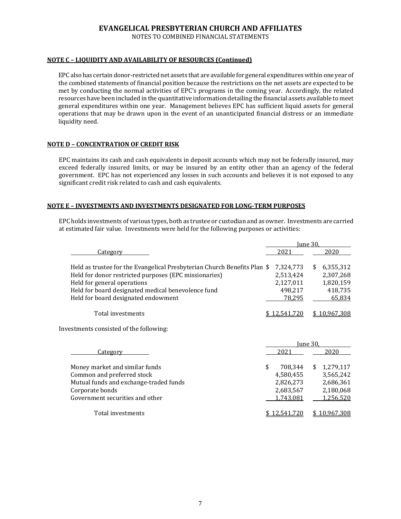NOTES TO COMBINED FINANCIAL STATEMENTS

## **NOTE C – LIQUIDITY AND AVAILABILITY OF RESOURCES (Continued)**

EPC also has certain donor-restricted net assets that are available for general expenditures within one year of the combined statements of financial position because the restrictions on the net assets are expected to be met by conducting the normal activities of EPC's programs in the coming year. Accordingly, the related resources have been included in the quantitative information detailing the financial assets available to meet general expenditures within one year. Management believes EPC has sufficient liquid assets for general operations that may be drawn upon in the event of an unanticipated financial distress or an immediate liquidity need.

## **NOTE D – CONCENTRATION OF CREDIT RISK**

EPC maintains its cash and cash equivalents in deposit accounts which may not be federally insured, may exceed federally insured limits, or may be insured by an entity other than an agency of the federal government. EPC has not experienced any losses in such accounts and believes it is not exposed to any significant credit risk related to cash and cash equivalents.

## **NOTE E – INVESTMENTS AND INVESTMENTS DESIGNATED FOR LONG-TERM PURPOSES**

EPC holds investments of various types, both as trustee or custodian and as owner. Investments are carried at estimated fair value. Investments were held for the following purposes or activities:

|                                                                          | <u>Iune</u> 30. |              |          |              |  |  |
|--------------------------------------------------------------------------|-----------------|--------------|----------|--------------|--|--|
| <b>Category</b>                                                          |                 | 2021         |          | 2020         |  |  |
| Held as trustee for the Evangelical Presbyterian Church Benefits Plan \$ |                 | 7,324,773    | \$       | 6,355,312    |  |  |
| Held for donor restricted purposes (EPC missionaries)                    |                 | 2,513,424    |          | 2,307,268    |  |  |
| Held for general operations                                              |                 | 2,127,011    |          | 1,820,159    |  |  |
| Held for board designated medical benevolence fund                       |                 | 498,217      |          | 418,735      |  |  |
| Held for board designated endowment                                      |                 | 78,295       |          | 65,834       |  |  |
| Total investments                                                        |                 | \$12,541,720 |          | \$10,967,308 |  |  |
| Investments consisted of the following:                                  |                 |              |          |              |  |  |
|                                                                          |                 |              | June 30. |              |  |  |
| Category                                                                 |                 | 2021         |          | 2020         |  |  |
| Money market and similar funds                                           | \$              | 708,344      | \$       | 1,279,117    |  |  |
| Common and preferred stock                                               |                 | 4,580,455    |          | 3,565,242    |  |  |
| Mutual funds and exchange-traded funds                                   |                 | 2,826,273    |          | 2,686,361    |  |  |
| Corporate bonds                                                          |                 | 2,683,567    |          | 2,180,068    |  |  |
| Government securities and other                                          |                 | 1,743,081    |          | 1,256,520    |  |  |
| Total investments                                                        |                 | \$12.541.720 |          | \$10.967.308 |  |  |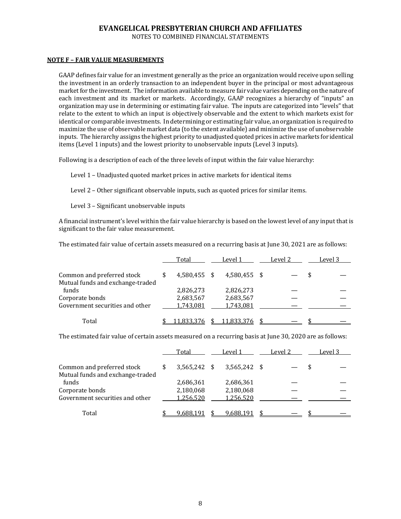NOTES TO COMBINED FINANCIAL STATEMENTS

## **NOTE F – FAIR VALUE MEASUREMENTS**

GAAP defines fair value for an investment generally as the price an organization would receive upon selling the investment in an orderly transaction to an independent buyer in the principal or most advantageous market for the investment. The information available to measure fair value varies depending on the nature of each investment and its market or markets. Accordingly, GAAP recognizes a hierarchy of "inputs" an organization may use in determining or estimating fair value. The inputs are categorized into "levels" that relate to the extent to which an input is objectively observable and the extent to which markets exist for identical or comparable investments. In determining or estimating fair value, an organization is required to maximize the use of observable market data (to the extent available) and minimize the use of unobservable inputs. The hierarchy assigns the highest priority to unadjusted quoted prices in active markets for identical items (Level 1 inputs) and the lowest priority to unobservable inputs (Level 3 inputs).

Following is a description of each of the three levels of input within the fair value hierarchy:

Level 1 – Unadjusted quoted market prices in active markets for identical items

Level 2 – Other significant observable inputs, such as quoted prices for similar items.

Level 3 – Significant unobservable inputs

A financial instrument's level within the fair value hierarchy is based on the lowest level of any input that is significant to the fair value measurement.

The estimated fair value of certain assets measured on a recurring basis at June 30, 2021 are as follows:

|                                           | Total        | Level 1      | Level 2 | Level 3 |
|-------------------------------------------|--------------|--------------|---------|---------|
| Common and preferred stock                | 4,580,455 \$ | 4.580.455 \$ |         |         |
| Mutual funds and exchange-traded<br>funds | 2,826,273    | 2,826,273    |         |         |
| Corporate bonds                           | 2,683,567    | 2,683,567    |         |         |
| Government securities and other           | 1,743,081    | 1,743,081    |         |         |
| Total                                     |              | 11.833.376   |         |         |

The estimated fair value of certain assets measured on a recurring basis at June 30, 2020 are as follows:

|                                  | Total          | Level 1                 | Level 2 | Level 3 |
|----------------------------------|----------------|-------------------------|---------|---------|
| Common and preferred stock       | $3,565,242$ \$ | $3.565.242 \text{ }$ \$ |         |         |
| Mutual funds and exchange-traded |                |                         |         |         |
| funds                            | 2,686,361      | 2,686,361               |         |         |
| Corporate bonds                  | 2,180,068      | 2,180,068               |         |         |
| Government securities and other  | 1,256,520      | 1,256,520               |         |         |
|                                  |                |                         |         |         |
| Total                            | 9 688 1        | 9.688.191               |         |         |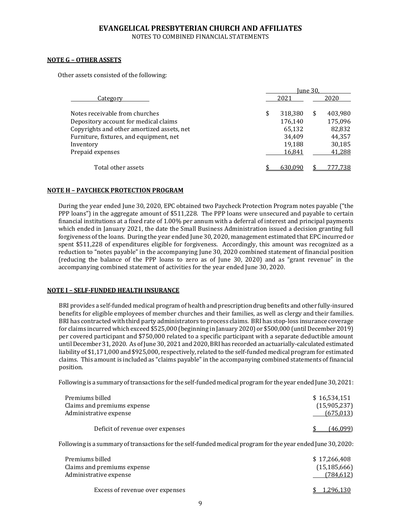NOTES TO COMBINED FINANCIAL STATEMENTS

## **NOTE G – OTHER ASSETS**

Other assets consisted of the following:

|                                            | Iune 30. |         |   |         |  |  |  |  |
|--------------------------------------------|----------|---------|---|---------|--|--|--|--|
| Category                                   |          | 2021    |   | 2020    |  |  |  |  |
| Notes receivable from churches             | \$       | 318,380 | S | 403,980 |  |  |  |  |
| Depository account for medical claims      |          | 176,140 |   | 175,096 |  |  |  |  |
| Copyrights and other amortized assets, net |          | 65,132  |   | 82,832  |  |  |  |  |
| Furniture, fixtures, and equipment, net    |          | 34.409  |   | 44,357  |  |  |  |  |
| Inventory                                  |          | 19,188  |   | 30,185  |  |  |  |  |
| Prepaid expenses                           |          | 16,841  |   | 41,288  |  |  |  |  |
| Total other assets                         |          | 630.090 |   | '77.738 |  |  |  |  |

#### **NOTE H – PAYCHECK PROTECTION PROGRAM**

During the year ended June 30, 2020, EPC obtained two Paycheck Protection Program notes payable ("the PPP loans") in the aggregate amount of \$511,228. The PPP loans were unsecured and payable to certain financial institutions at a fixed rate of 1.00% per annum with a deferral of interest and principal payments which ended in January 2021, the date the Small Business Administration issued a decision granting full forgiveness of the loans. During the year ended June 30, 2020, management estimated that EPC incurred or spent \$511,228 of expenditures eligible for forgiveness. Accordingly, this amount was recognized as a reduction to "notes payable" in the accompanying June 30, 2020 combined statement of financial position (reducing the balance of the PPP loans to zero as of June 30, 2020) and as "grant revenue" in the accompanying combined statement of activities for the year ended June 30, 2020.

#### **NOTE I – SELF-FUNDED HEALTH INSURANCE**

BRI provides a self-funded medical program of health and prescription drug benefits and other fully-insured benefits for eligible employees of member churches and their families, as well as clergy and their families. BRI has contracted with third party administrators to process claims. BRI has stop-loss insurance coverage for claims incurred which exceed \$525,000 (beginning in January 2020) or \$500,000 (until December 2019) per covered participant and \$750,000 related to a specific participant with a separate deductible amount until December 31, 2020. As of June 30, 2021 and 2020, BRI has recorded an actuarially-calculated estimated liability of \$1,171,000 and \$925,000, respectively, related to the self-funded medical program for estimated claims. This amount is included as "claims payable" in the accompanying combined statements of financial position.

Following is a summary of transactions for the self-funded medical program for the year ended June 30, 2021:

| Premiums billed                  | \$16.534.151 |
|----------------------------------|--------------|
| Claims and premiums expense      | (15,905,237) |
| Administrative expense           | (675.013)    |
| Deficit of revenue over expenses | (46.099)     |

Following is a summary of transactions for the self-funded medical program for the year ended June 30, 2020:

| Premiums billed                 | \$17.266.408   |
|---------------------------------|----------------|
| Claims and premiums expense     | (15, 185, 666) |
| Administrative expense          | (784.612)      |
| Excess of revenue over expenses | 1.296.130      |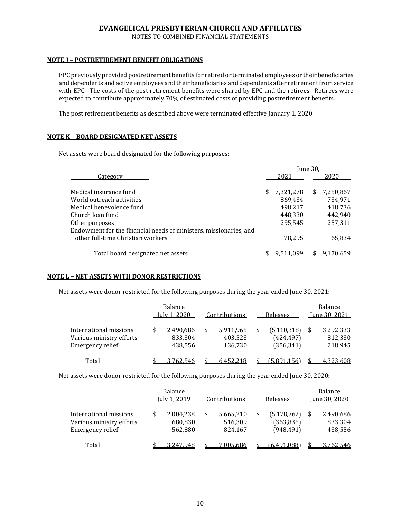NOTES TO COMBINED FINANCIAL STATEMENTS

## **NOTE J – POSTRETIREMENT BENEFIT OBLIGATIONS**

EPC previously provided postretirement benefits for retired or terminated employees or their beneficiaries and dependents and active employees and their beneficiaries and dependents after retirement from service with EPC. The costs of the post retirement benefits were shared by EPC and the retirees. Retirees were expected to contribute approximately 70% of estimated costs of providing postretirement benefits.

The post retirement benefits as described above were terminated effective January 1, 2020.

## **NOTE K – BOARD DESIGNATED NET ASSETS**

Net assets were board designated for the following purposes:

|                                                                   | Iune 30. |           |    |           |  |  |  |
|-------------------------------------------------------------------|----------|-----------|----|-----------|--|--|--|
| Category                                                          |          | 2021      |    | 2020      |  |  |  |
| Medical insurance fund                                            | \$       | 7,321,278 | S. | 7,250,867 |  |  |  |
| World outreach activities                                         |          | 869.434   |    | 734,971   |  |  |  |
| Medical benevolence fund                                          |          | 498.217   |    | 418,736   |  |  |  |
| Church loan fund                                                  |          | 448.330   |    | 442.940   |  |  |  |
| Other purposes                                                    |          | 295.545   |    | 257,311   |  |  |  |
| Endowment for the financial needs of ministers, missionaries, and |          |           |    |           |  |  |  |
| other full-time Christian workers                                 |          | 78.295    |    | 65.834    |  |  |  |
| Total board designated net assets                                 |          |           |    | 9.170.659 |  |  |  |

## **NOTE L – NET ASSETS WITH DONOR RESTRICTIONS**

Net assets were donor restricted for the following purposes during the year ended June 30, 2021:

|                                                                        | <b>Balance</b><br>July 1, 2020 |                                 | Contributions |                                 |  | Releases                                  | Balance<br>June 30, 2021 |                                 |  |
|------------------------------------------------------------------------|--------------------------------|---------------------------------|---------------|---------------------------------|--|-------------------------------------------|--------------------------|---------------------------------|--|
| International missions<br>Various ministry efforts<br>Emergency relief | \$                             | 2,490,686<br>833,304<br>438,556 |               | 5,911,965<br>403,523<br>136,730 |  | (5, 110, 318)<br>(424, 497)<br>(356, 341) |                          | 3,292,333<br>812,330<br>218,945 |  |
| Total                                                                  |                                | 3.762.546                       |               | 6.452.218                       |  | (5.891.156)                               |                          | 4,323,608                       |  |

Net assets were donor restricted for the following purposes during the year ended June 30, 2020:

|                                                                        | Balance<br>July 1, 2019               | Contributions |                                 | Releases |                                           | Balance<br>June 30, 2020 |                                 |
|------------------------------------------------------------------------|---------------------------------------|---------------|---------------------------------|----------|-------------------------------------------|--------------------------|---------------------------------|
| International missions<br>Various ministry efforts<br>Emergency relief | \$<br>2,004,238<br>680,830<br>562,880 |               | 5,665,210<br>516,309<br>824,167 |          | (5, 178, 762)<br>(363, 835)<br>(948, 491) |                          | 2,490,686<br>833,304<br>438,556 |
| Total                                                                  | 3.247.948                             |               | 7.005.686                       |          | (6.491.088                                |                          | 3.762.546                       |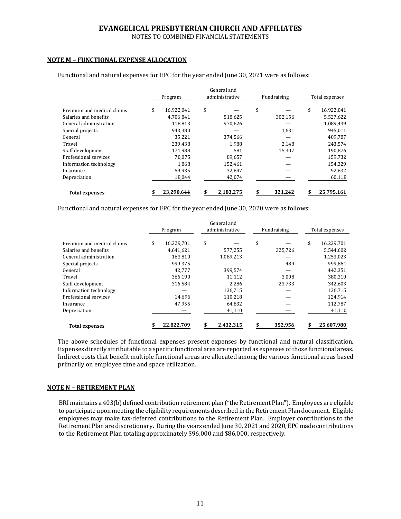NOTES TO COMBINED FINANCIAL STATEMENTS

## **NOTE M – FUNCTIONAL EXPENSE ALLOCATION**

|                            |         | General and |                |           |             |         |                |            |
|----------------------------|---------|-------------|----------------|-----------|-------------|---------|----------------|------------|
|                            | Program |             | administrative |           | Fundraising |         | Total expenses |            |
|                            |         |             |                |           |             |         |                |            |
| Premium and medical claims | \$      | 16,922,041  | \$             |           | \$          |         | \$             | 16,922,041 |
| Salaries and benefits      |         | 4.706.841   |                | 518,625   |             | 302,156 |                | 5.527,622  |
| General administration     |         | 118.813     |                | 970.626   |             |         |                | 1,089,439  |
| Special projects           |         | 943,380     |                |           |             | 1,631   |                | 945,011    |
| General                    |         | 35.221      |                | 374,566   |             |         |                | 409,787    |
| Travel                     |         | 239.438     |                | 1.988     |             | 2.148   |                | 243,574    |
| Staff development          |         | 174.988     |                | 581       |             | 15,307  |                | 190,876    |
| Professional services      |         | 70.075      |                | 89.657    |             |         |                | 159,732    |
| Information technology     |         | 1,868       |                | 152,461   |             |         |                | 154,329    |
| Insurance                  |         | 59,935      |                | 32,697    |             |         |                | 92,632     |
| Depreciation               |         | 18,044      |                | 42,074    |             |         |                | 60,118     |
| <b>Total expenses</b>      |         | 23,290,644  |                | 2,183,275 |             | 321,242 | \$             | 25,795,161 |

Functional and natural expenses for EPC for the year ended June 30, 2021 were as follows:

Functional and natural expenses for EPC for the year ended June 30, 2020 were as follows:

|                            | Program |            | General and<br>administrative |           | Fundraising |         | Total expenses |            |
|----------------------------|---------|------------|-------------------------------|-----------|-------------|---------|----------------|------------|
| Premium and medical claims | \$      | 16,229,701 | \$                            |           | \$          |         | \$             | 16,229,701 |
| Salaries and benefits      |         | 4,641,621  |                               | 577,255   |             | 325,726 |                | 5,544,602  |
| General administration     |         | 163.810    |                               | 1,089,213 |             |         |                | 1,253,023  |
| Special projects           |         | 999,375    |                               |           |             | 489     |                | 999,864    |
| General                    |         | 42,777     |                               | 399,574   |             |         |                | 442,351    |
| Travel                     |         | 366.190    |                               | 11.112    |             | 3,008   |                | 380,310    |
| Staff development          |         | 316,584    |                               | 2,286     |             | 23,733  |                | 342,603    |
| Information technology     |         |            |                               | 136,715   |             |         |                | 136,715    |
| Professional services      |         | 14,696     |                               | 110,218   |             |         |                | 124,914    |
| Insurance                  |         | 47,955     |                               | 64,832    |             |         |                | 112,787    |
| Depreciation               |         |            |                               | 41,110    |             |         |                | 41,110     |
| <b>Total expenses</b>      |         | 22,822,709 |                               | 2,432,315 | \$          | 352,956 | S              | 25,607,980 |

The above schedules of functional expenses present expenses by functional and natural classification. Expenses directly attributable to a specific functional area are reported as expenses of those functional areas. Indirect costs that benefit multiple functional areas are allocated among the various functional areas based primarily on employee time and space utilization.

#### **NOTE N – RETIREMENT PLAN**

BRI maintains a 403(b) defined contribution retirement plan ("the Retirement Plan"). Employees are eligible to participate upon meeting the eligibility requirements described in the Retirement Plan document. Eligible employees may make tax-deferred contributions to the Retirement Plan. Employer contributions to the Retirement Plan are discretionary. During the years ended June 30, 2021 and 2020, EPC made contributions to the Retirement Plan totaling approximately \$96,000 and \$86,000, respectively.